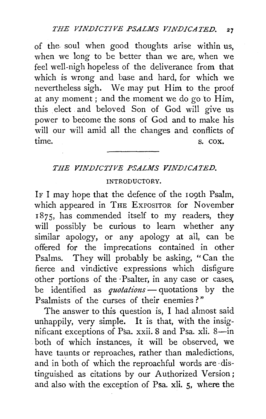of the. soul when good thoughts arise within us, when we long to be better than we are, when we feel well-nigh hopeless of the deliverance from that which is wrong and base and hard, for which we nevertheless sigh. We may put Him to the proof at any moment; and the moment we do go to  $\overline{H}$ im, this elect and beloved Son of God will give us power to become the sons of God and to make his will our will amid all the changes and conflicts of time. S. COX.

# *THE VINDICTIVE PSALMS VINDICATED.*

## INTRODUCTORY.

IF I may hope that the defence of the 109th Psalm, which appeared in THE EXPOSITOR for November 1875, has commended itself to my readers, they will possibly be curious to learn whether any similar apology, or any apology at all, can be offered for the imprecations contained in other Psalms. They will probably be asking, "Can the fierce and vindictive expressions which disfigure other portions of the ·Psalter, in any case or cases, be identified as *quotations* - quotations by the Psalmists of the curses of their enemies ? "

The answer to this question is, I had almost said unhappily, very simple. It is that, with the insignificant exceptions of Psa. xxii. 8 and Psa. xli. 8-in . both of which instances, it will be observed, we have taunts or reproaches, rather than maledictions, and in both of which the reproachful words are ·distinguished as citations by our Authorized Version; and also with the exception of Psa. xli. 5, where the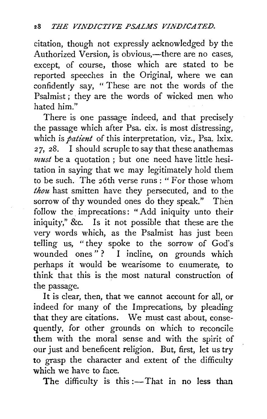citation, though not expressly acknowledged by the Authorized Version, is obvious,—there are no cases, except, of course, those which are stated to be reported speeches in the Original, where we can confidently say, " These are not the words of the Psalmist; they are the words of wicked men who hated him."

There is one passage indeed, and that precisely the passage which after Psa. cix. is most distressing, which is *patient* of this interpretation, viz., Psa. lxix. *<sup>2</sup>*7, 28. I should scruple to say that these anathemas *must* be a quotation ; but one need have little hesitation in saying that we may legitimately hold them to be such. The 26th verse runs: "For those whom *thou* hast smitten have they persecuted, and to the sorrow of thy wounded ones do they speak." Then follow the imprecations: "Add iniquity unto their iniquity," &c. Is it not possible that these are the very words which, as the Psalmist has just been telling us, "they spoke to the sorrow of God's wounded ones"? I incline, on grounds which perhaps it would be wearisome to enumerate, to think that this is the most natural construction of the passage.

It is clear, then, that we cannot account for all, or indeed for many of the Imprecations, by pleading that they are citations. We must cast about, consequently, for other grounds on which to reconcile them with the moral sense and with the spirit of our just and beneficent religion. But, first, let us try to grasp the character and extent of the difficulty which we have to face.

The difficulty is this  $:$  That in no less than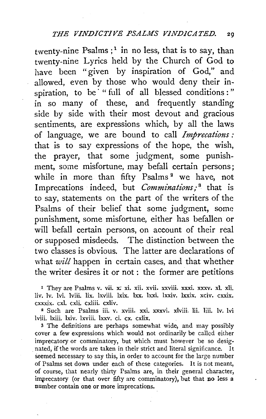## *THE VINDICTIVE PSALMS VJN.DJCATED.* 29

twenty-nine Psalms;<sup>1</sup> in no less, that is to say, than twenty-nine Lyrics held by the Church of God to have been "given by inspiration of God," and allowed, even by those who would deny their inspiration, to be " full of all blessed conditions :" in so many of these, and frequently standing side by side with their most devout and gracious sentiments, are expressions which, by all the laws of language, we are bound to call *Imprecations:*  that is to say expressions of the hope, the wish, the prayer, that some judgment, some punishment, some misfortune, may befall certain persons; while in more than fifty Psalms<sup>2</sup> we have, not Imprecations indeed, but *Comminations;* 8 that is to say, statements on the part of the writers of the Psalms of their belief that some judgment, some punishment, some misfortune, either has befallen or will befall certain persons, on account of their real or supposed misdeeds. The distinction between the two classes is obvious. The latter are declarations of what *will* happen in certain cases, and that whether the writer desires it or not : the former are petitions

<sup>1</sup> They are Psalms v. vii. x: xi. xii. xvii. xxviii. xxxi. xxxv. xl. xli. liv. lv. lvi. lviii. lix. lxviii. lxix. lxx. lxxi. lxxiv. lxxix. xciv. cxxix. cxxxix. cxl. cxli. cxliii. cxliv.

2 Such are Psalms iii. v. xviii. xxi. xxxvi. xlviii. lii. liii. lv. lvi lviii. lxiii. lxiv. lxviii. lxxv. ci. ex. cxlix.

3 The definitions are perhaps somewhat wide, and may possibly cover a few expressions which would not ordinarily be called either imprecatory or comminatory, but which must however be so desig- . nated, if the words are taken in their strict and literal significance. It Seemed necessary to say this, in order to account for the large number of Psalms set down under each of these categories. It is not meant, of course, that nearly thirty Psalms are, in their general character, imprecatory (or that over fifty are comminatory), but that no less a number contain one or more imprecations.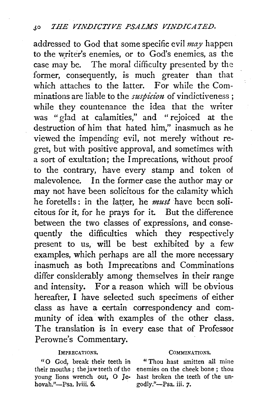addressed to God that some specific evil *may* happen to the writer's enemies, or to God's enemies, as the case may be. The moral difficulty presented by the former, consequently, is much greater than that which attaches to the latter. For while the Comminations are liable to the *suspicion* of vindictiveness ; while they countenance the idea that the writer was "glad at calamities," and " rejoiced at the destruction of him that hated him," inasmuch as he viewed the impending evil, not merely without regret, but with positive approval, and sometimes with a sort of exultation; the Imprecations, without proof to the contrary, have every stamp and token of malevolence. In the former case the author may or may not have been solicitous for the calamity which he foretells : in the latter, he *must* have been solicitous for it, for he prays for it. But the difference between the two classes of expressions, and consequently the difficulties which they respectively present to us, will be best exhibited by a few examples, which perhaps are all the more necessary inasmuch as both Imprecatibns and Comminations differ considerably among themselves in their range and intensity. For a reason which will be obvious hereafter, I have selected such specimens of either class as have a certain correspondency and community of idea with examples of the other class. The translation is in every case that of Professor Perowne's Commentary.

## IMPRECATIONS.

" 0 God, break their teeth in their mouths ; the jaw teeth of the young lions wrench out, O Jehovah."-Psa. lviii. 6.

### COMMINATIONS.

"Thou hast smitten all mine enemies on the cheek bone ; thou hast broken the teeth of the ungodly."-Psa. iii. *7·*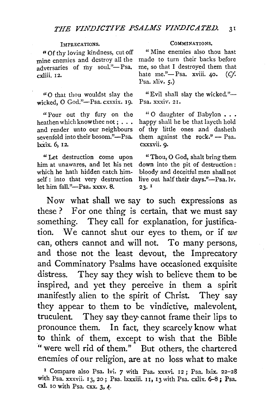### IMPRECATIONS.

"Of thy loving kindness, cut off mine enemies and destroy all the adversaries of my soul."-Psa. cxliii. r2.

"0 that thou wouldst slay the wicked, O God."-Psa. cxxxix. 19.

"Pour out thy fury on the heathen which know thee not; ... and render unto our neighbours sevenfold into their bosom."-Psa. lxxix. 6, 12.

" Let destruction come upon him at unawares, and let his net which he bath hidden catch himself : into that very destruction let him fall."-Psa. xxxv. 8.

#### CoMMINATIONs.

" Mine enemies also thou hast made to turn their backs before me, so that I destroyed them that hate me."-Psa. xviii. 40. (Cf. Psa. xliv. 5.)

"Evil shall slay the wicked." $-$ Psa. xxxiv. 21.

" O daughter of Babylon . . . happy shall he be that layeth hold of thy little ones and dasheth them against the rock." $-$  Psa. cxxxvii. 9·

" Thou, 0 God, shalt bring them down into the pit of destruction : bloody and deceitful men shall not live out half their days."-Psa.lv.  $23.$ <sup>I</sup>

Now what shall we say to such expressions as these ? For one thing is certain, that we must say something. They call for explanation, for justification. We cannot shut our eyes to them, or if *we*  can, others cannot and will not. To many persons, and those not the least devout, the Imprecatory and Comminatory Psalms have occasioned exquisite distress. They say they wish to believe them to be inspired, and yet they perceive in them a spirit manifestly alien to the spirit of Christ. They say they appear to them to be vindictive, malevolent, truculent. They say they· cannot frame their lips to pronounce them. In fact, they scarcely know what to think of them, except to wish that the Bible "were well rid of them." But others, the chartered enemies of our religion, are at no loss what to make

<sup>&</sup>lt;sup>1</sup> Compare also Psa. lvi. *7* with Psa. xxxvi. 12; Psa. lxix. 22-28 with Psa. xxxvii. 13, 20; Psa. lxxxiii. u, 13 with Psa. cxlix. 6-8; Psa. cxl. 10 with Psa. cxx. 3, 4·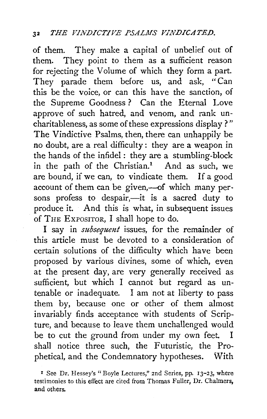of them. They make a capital of unbelief out of them. They point to them as a sufficient reason for rejecting the Volume of which they form a part. They parade them before us, and ask, "Can this be the voice, or can this have the sanction, of the Supreme Goodness? Can the Eternal Love approve of such hatred, and venom, and rank uncharitableness, as some of these expressions display ? " The Vindictive Psalms, then, there can unhappily be no doubt, are a real difficulty : they are a weapon in the hands of the infidel : they are a stumbling-block in the path of the Christian.<sup>1</sup> And as such, we are bound, if we can, to vindicate them. If a good account of them can be given,-of which many persons profess to despair,-it is a sacred duty to produce it. And this is what, in subsequent issues of TnE ExPOSITOR, I shall hope to do.

I say in *subsequent* issues, for the remainder of this article must be devoted to a consideration of certain solutions of the difficulty which have been proposed by various divines, some of which, even at the present day, are very generally received as sufficient, but which I cannot but regard as untenable or inadequate. I am not at liberty to pass them by, because one or other of them almost invariably finds acceptance with students of Scripture, and because to leave them unchallenged would be to cut the ground from under my own feet. I shall notice three such, the Futuristic, the Prophetical, and the Condemnatory hypotheses. With

r See Dr. Hessey's "Boyle Lectures," 2nd Series, pp. 13-23, where testimonies to this effect are cited from Thomas Fuller, Dr. Chalmers, and others.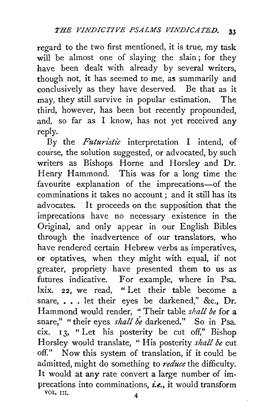regard to the two first mentioned, it is true, my task will be almost one of slaying the slain; for they have been dealt with already by several writers, though not, it has seemed to me, as summarily and conclusively as they have deserved. Be that as it may, they still survive in popular estimation. The third, however, has been but recently propounded, and, so far as I know, has not yet received any reply.

By the *Futuristic* interpretation I intend, of course, the solution suggested, or advocated, by such writers as Bishops Horne and Horsley and Dr. Henry Hammond. This was for a long time the favourite explanation of the imprecations-of the comminations it takes no account ; and it still has its advocates. It proceeds on the supposition that the imprecations have no necessary existence in the Original, and only appear in our English Bibles through the inadvertence of our translators, who have rendered certain Hebrew verbs as imperatives, or optatives, when they might with equal, if not greater, propriety have presented them to us as futures indicative. For example, where in Psa. lxix. 22, we read, "Let their table become a snare, ... let their eyes be darkened," &c., Dr. Hammond would render, " Their table *shall be* for a snare," "their eyes *shall be* darkened." So in Psa. cix. 13, " Let his posterity be cut off," Bishop Horsley would translate, "His posterity *shall be* cut off." Now this system of translation, if it could be admitted, might do something to *reduce* the difficulty. It would at any rate convert a large number of imprecations into comminations, *i.e.,* it would transform VOL. III. 4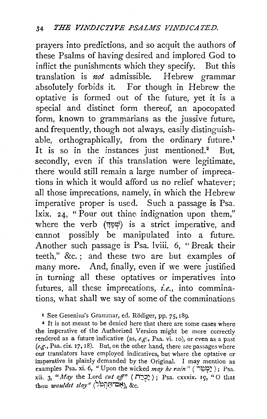prayers into predictions, and so acquit the authors of these Psalms of having desired and implored God to inflict the punishments which they specify. But this translation is *not* admissible. Hebrew grammar absolutely forbids it. For though in Hebrew the optative is formed out of the future, yet it is a special and distinct form thereof, an apocopated form, known to grammarians as the jussive future, and frequently, though not always, easily distinguishable, orthographically, from the ordinary future.<sup>1</sup> It is so in the instances just mentioned.<sup>2</sup> But, secondly, even if this translation were legitimate, there would still remain a large number of imprecations in which it would afford us no relief whatever; all those imprecations, namely, in which the Hebrew imperative proper is used. Such a passage is Psa. lxix. 24, " Pour out thine indignation upon them," where the verb  $(\forall \Psi)$  is a strict imperative, and cannot possibly be manipulated into a future. Another such passage is Psa. lviii. 6, " Break their teeth," &c. ; and these two are but examples of many more. And, finally, even if we were justified in turning all these optatives or imperatives into futures, all these imprecations, *i.e.*, into comminations, what shall we say of some of the comminations

1 See Gesenius's Grammar, ed. Rodiger, pp. *75,* r89.

<sup>2</sup> It is not meant to be denied here that there are some cases where the imperative of the Authorized Version might be more correctly rendered as a future indicative (as, *e.g.*, Psa. vi. 10), or even as a past *(e.g.,* Psa. cix. 17, 18). But, on the other hand, there are passages where our translators have employed indicatives, but where the optative or imperative is plainly demanded by the Original. I may mention as examples Psa. xi. 6, " Upon the wicked *may he rain* " (יַמְמָיִר) ; Psa. xii. 3, *"May* the Lord *cut off"* ( יַכְרֵה ); Psa. cxxxix. 19, "O that thou *wouldst slay"* (יָבְרֵה ), &c.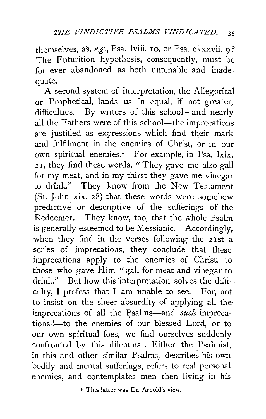themselves, as, *e.g.,* Psa. lviii. ro, or Psa. cxxxvii. 9? The Futurition hypothesis, consequently, must be for ever abandoned as both untenable and inadequate.

A second system of interpretation, the Allegorical or Prophetical, lands us in equal, if not greater, difficulties. By writers of this school-and nearly all the Fathers were of this school—the imprecations are justified as expressions which find their mark and fulfilment in the enemies of Christ, or in our own spiritual enemies.<sup>1</sup> For example, in Psa. lxix. *<sup>2</sup>*I, they find these words, "They gave me also gall for my meat, and in my thirst they gave me vinegar to drink." They know from the New Testament (St. John xix.  $28$ ) that these words were somehow predictive or descriptive of the sufferings of the Redeemer. They know, too, that the whole Psalm is generally esteemed to be Messianic. Accordingly, when they find in the verses following the 21st a series of imprecations, they conclude that these imprecations apply to the enemies of Christ, to those who gave Him "gall for meat and vinegar to. drink." But how this 'interpretation solves the diffi· culty, I profess that I am unable to see. For, not to insist on the sheer absurdity of applying all the· imprecations of all the psalms-and *such* imprecations !- to the enemies of our blessed Lord, or to. our own spiritual foes, we find ourselves suddenly confronted by this dilemma : Either the Psalmist, in this and other similar Psalms, describes his own bodily and mental sufferings, refers to real personal enemies, and contemplates men then living in his

<sup>I</sup> This latter was Dr. Arnold's view.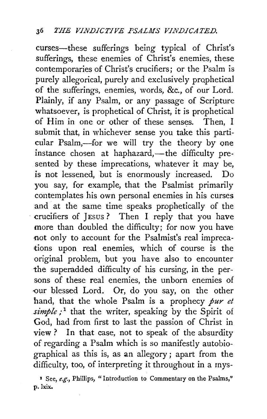curses-these sufferings being typical of Christ's sufferings, these enemies of Christ's enemies, these contemporaries of Christ's crucifiers; or the Psalm is purely allegorical, purely and exclusively prophetical of the sufferings, enemies, words, &c., of our Lord. Plainly, if any Psalm, or any passage of Scripture whatsoever, is prophetical of Christ, it is prophetical of Him in one or other of these senses. Then, I submit that, in whichever sense you take this particular Psalm,-for we will try the theory by one instance chosen at haphazard,—the difficulty presented by these imprecations, whatever it may be, is not lessened, but is enormously increased. Do you say, for example, that the Psalmist primarily contemplates his own personal enemies in his curses and at the same time speaks prophetically of the crucifiers of JEsus ? Then I reply that you have more than doubled the difficulty; for now you have not only to account for the Psalmist's real imprecations upon real enemies, which of course is the original problem, but you have also to encounter the superadded difficulty of his cursing, in the persons of these real enemies, the unborn enemies of -our blessed Lord. Or, do you say, on the other hand, that the whole Psalm is a prophecy *pur et* simple;<sup>1</sup> that the writer, speaking by the Spirit of God, had from first to last the passion of Christ in view? In that case, not to speak of the absurdity of regarding a Psalm which is so manifestly autobiographical as this is, as an allegory ; apart from the difficulty, too, of interpreting it throughout in a mys-

<sup>1</sup> See, *e.g.*, Phillips, "Introduction to Commentary on the Psalms," p. lxix.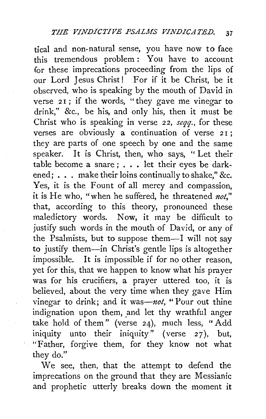tical and non-natural sense, you have now to face this tremendous problem : You have to account for these imprecations proceeding from the lips of our Lord Jesus Christ! For if it be Christ, be it observed, who is speaking by the mouth of David in verse 21; if the words, "they gave me vinegar to drink," &c., be his, and only his, then it must be Christ who is speaking in verse 22, *seqq.,* for these verses are obviously a continuation of verse  $21$ ; they are parts of one speech by one and the same speaker. It is Christ, then, who says, " Let their table become a snare;  $\ldots$  let their eyes be darkened; . . . make their loins continually to shake," &c. Yes, it is the Fount of all mercy and compassion, it is He who, "when he suffered, he threatened *not,"*  that, according to this theory, pronounced these maledictory words. Now, it may be difficult to justify such words in the mouth of David, or any of the Psalmists, but to suppose them-I will not say to justify them-in Christ's gentle lips is altogether impossible. It is impossible if for no other reason, yet for this, that we happen to know what his prayer was for his crucifiers, a prayer uttered too, it is believed, about the very time when they gave Him vinegar to drink; and it was-not, " Pour out thine indignation upon them, and let thy wrathful anger take hold of them" (verse 24), much less, "Add iniquity unto their iniquity" (verse 27), but, "Father, forgive them, for they know not what they do."

We see, then, that the attempt to defend the imprecations on the ground that they are Messianic and prophetic utterly breaks down the moment it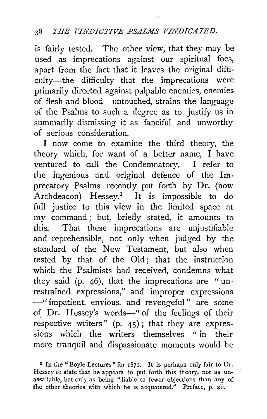is fairly tested. The other view, that they may be used .as imprecations against our spiritual foes, apart from the fact that it leaves the original difficulty-the difficulty that the imprecations were primarily directed against palpable enemies, enemies of flesh and blood-untouched, strains the language of the Psalms to such a degree as to justify us in summarily dismissing it as fanciful and unworthy of serious consideration.

I now come to examine the third theory, the theory which, for want of a better name, I have ventured to call the Condemnatory. I refer to the ingenious and original defence of the Imprecatory Psalms recently put forth by Dr. (now Archdeacon) Hessey.<sup>1</sup> It is impossible to do full justice to this view in the limited space at my command ; but, briefly stated, it amounts to this. That these imprecations are unjustifiable and reprehensible, not only when judged by the standard of the New Testament, but also when tested by that of the Old; that the instruction which the Psalmists had received, condemns what they said (p. 46), that the imprecations are "unrestrained expressions," and improper expressions -"impatient, envious, and revengeful" are some of Dr. Hessey's words-" of the feelings of their respective writers" (p.  $45$ ); that they are expressions which the writers themselves " in their more tranquil and dispassionate moments would be

<sup>1</sup> In the "Boyle Lectures" for 1872. It is perhaps only fair to Dr. Hessey to state that he appears to put forth this theory, not as unassailable, but only as being "liable to fewer objections than any of the other theories with which he is acquainted." Preface, p. xii.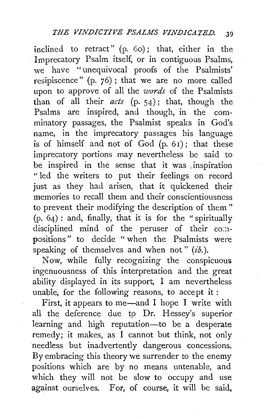inclined to retract"  $(p. 60)$ ; that, either in the Imprecatory Psalm itself, or in contiguous Psalms, we have "unequivocal proofs of the Psalmists' resipiscence" (p. 76) ; that we are no more called upon to approve of all the *words* of the Psalmists than of all their *acts* (p. 54); that, though the Psalms are inspired, and though, in the comminatory passages, the Psalmist speaks in God's name, in the imprecatory passages his language is of himself and not of  $God$   $(p, 61)$ ; that these imprecatory portions may nevertheless be said to be inspired in the sense that it was . inspiration " led the writers to put their feelings on record just as they had arisen, that it quickened their memories to recall them and their conscientiousness to prevent their modifying the description of them " (p. 64) : and, finally, that it is for the "spiritually disciplined mind of the peruser of their compositions" to decide " when the Psalmists were speaking of themselves and when not" *(ib.)*.

Now, while fully recognizing the conspicuous ingenuousness of this interpretation and the great ability displayed in its support, I am nevertheless unable, for the following reasons, to accept it :

First, it appears to me-and I hope I write with all the deference due to Dr. Hessey's superior learning and high reputation-to be a desperate remedy; it makes, as I cannot but think, not only needless but inadvertently dangerous concessions. By embracing this theory we surrender to the enemy positions which are by no means untenable, and which they will not be slow to occupy and use against ourselves. For, of course, it will be said,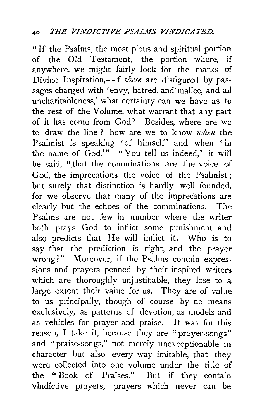" If the Psalms, the most pious and spiritual portion of the Old Testament, the portion where, if anywhere, we might fairly look for the marks of Divine Inspiration,-if *these* are disfigured by passages charged with 'envy, hatred, and' malice, and all uncharitableness,' what certainty can we have as to the rest of the Volume, what warrant that any part of it has come from God? Besides, where are we to draw the line? how are we to know *when* the Psalmist is speaking 'of himself' and when 'in the name of God.'" "You tell us indeed," it will be said, "that the comminations are the voice of God, the imprecations the voice of the Psalmist ; but surely that distinction is hardly well founded, for we observe that many of the imprecations are clearly but the echoes of the comminations. The Psalms are not few in number where the writer both prays God to inflict some punishment and also predicts that He will inflict it. Who is to say that the prediction is right, and the prayer wrong?" Moreover, if the Psalms contain expressions and prayers penned by their inspired writers which are thoroughly unjustifiable, they lose to a large extent their value for us. They are of value to us principally, though of course by no means exclusively, as patterns of devotion, as models and as vehicles for prayer and praise. It was for this reason, I take it, because they are "prayer-songs" and "praise-songs," not merely unexceptionable in character but also every way imitable, that they were collected into one volume under the title of the '' Book of Praises." But if they contain vindictive prayers, prayers which never can be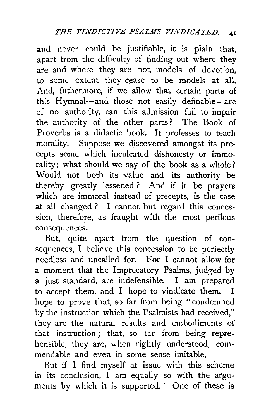and never could be justifiable, it is plain that, apart from the difficulty of finding out where they are and where they are not, models of devotion, to some extent they cease to be models at all. And, futhermore, if we allow that certain parts of this Hymnal-and those not easily definable-are of no authority, can this admission fail to impair the authority of the other parts? The Book of Proverbs is a didactic book. It professes to teach morality. Suppose we discovered amongst its precepts some which inculcated dishonesty or immorality; what should we say of the book as a whole? Would not both its value and its authority be thereby greatly lessened ? And if it be prayers which are immoral instead of precepts, is the case at all changed ? I cannot but regard this concession, therefore, as fraught with the most perilous consequences.

But, quite apart from the question of consequences, I believe this concession to be perfectly needless and uncalled for. For I cannot allow for a moment that the Imprecatory Psalms, judged by a just standard, are indefensible. I am prepared to accept them, and I hope to vindicate them. I hope to prove that, so far from being " condemned by the instruction which the Psalmists had received," they are the natural results and embodiments of that instruction ; that, so far from being reprehensible, they are, when rightly understood, commendable and even in some sense imitable.

But if I find myself at issue with this scheme in its conclusion,  $\tilde{I}$  am equally so with the arguments by which it is supported. One of these is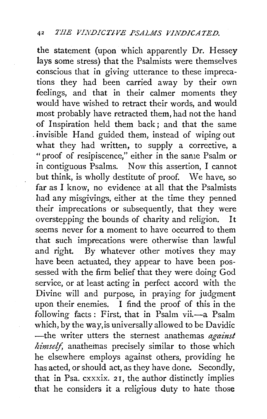the statement (upon which apparently Dr. Hessey lays some stress) that the Psalmists were themselves conscious that in giving utterance to these imprecations they had been carried away by their own feelings, and that in their calmer moments they would have wished to retract their words, and would most probably have retracted them, had not the hand of Inspiration held them back; and that the same . invisible Hand guided them, instead of wiping out what they had written, to supply a corrective, a "proof of resipiscence," either in the same Psalm or in contiguous Psalms. Now this assertion, I cannot but think, is wholly destitute of proof. We have, so far as I know, no evidence at all that the Psalmists had any misgivings, either at the time they penned their imprecations or subsequently, that they were overstepping the bounds of charity and religion. It seems never for a moment to have occurred to them that such imprecations were otherwise than lawful and right. By whatever other motives they may have been actuated, they appear to have been possessed with the firm belief that they were doing God service, or at least acting in perfect accord with the Divine will and purpose, in praying for judgment upon their enemies. I find the proof of this in the following facts: First, that in Psalm vii.-- a Psalm which, by the way, is universally allowed to be Davidic -the writer utters the sternest anathemas *against himself,* anatheinas precisely similar to those which he elsewhere employs against others, providing he has acted, or should act, as they have done. Secondly, that in Psa. cxxxix. 2 1, the author distinctly implies that he considers it a religious duty to hate those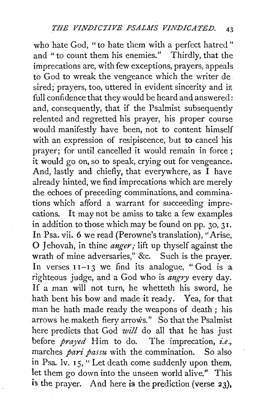who hate God, " to hate them with a perfect hatred " and " to count them his enemies." Thirdly, that the imprecations are, with few exceptions, prayers, appeals to God to wreak the vengeance which the writer de sired; prayers, too, uttered in evident sincerity and in full confidence that they would be heard and answered: and, consequently, that if the Psalmist subsequently relented and regretted his prayer, his proper course would manifestly have been, not to content himself with an expression of resipiscence, but to cancel his prayer; for until cancelled it would remain in force ; it would go on, so to speak, crying out for vengeance. And, lastly and chiefly, that everywhere, as  $\tilde{I}$  have already hinted, we find imprecations which are merely the echoes of preceding comminations, and comminations which afford a warrant for succeeding imprecations. It may not be amiss to take a few examples in addition to those which may be found on pp.  $30, 31$ . In Psa. vii. 6 we read (Perowne's translation), "Arise, 0 J ehovah, in thine *anger;* lift up thyself against the wrath of mine adversaries," &c. Such is the prayer. In verses  $I1-I3$  we find its analogue, "God is a righteous judge, and a God who is *angry* every day. If a man will not turn, he whetteth his sword, he bath bent his bow and made it ready. Yea, for that man he bath made ready the weapons of death ; his arrows he maketh fiery arrows." So that the Psalmist here predicts that God *will* do all that he has just before *prayed* Him to do. The imprecation, *i.e.,*  marches *pari passu* with the commination. So also in Psa. lv.  $15$ ,  $\cdot$  Let death come suddenly upon them, let them go down into the unseen world alive." This is the prayer. And here is the prediction (verse 23),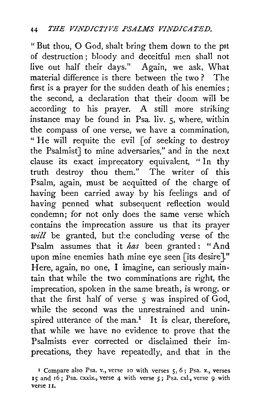" But thou, 0 God, shalt bring them down to the ptt of destruction; bloody and deceitful men shall not live out half their days." Again, we ask, What material difference is there between the two ? The first is a prayer for the sudden death of his enemies; the second, a declaration that their doom will be according to his prayer. A still more striking instance may be found in Psa. liv. 5, where, within the compass of one verse, we have a commination, " He will requite the evil [of seeking to destroy the Psalmist] to mine adversaries," and in the next clause its exact imprecatory equivalent, " In thy truth destroy thou them." The writer of this Psalm, again, must be acquitted of the charge of having been carried away by his feelings and of having penned what subsequent reflection would condemn; for not only does the same verse which contains the imprecation assure us that its prayer will be granted, but the concluding verse of the Psalm assumes that it *has* been granted: "And upon mine enemies hath mine eye seen [its desire]." Here, again, no one, I imagine, can seriously maintain that while the two comminations are right, the imprecation, spoken in the same breath, is wrong, or that the first half of verse 5 was inspired of God, while the second was the unrestrained and uninspired utterance of the man.<sup>1</sup> It is clear, therefore, that while we have no evidence to prove that the Psalmists ever corrected or disclaimed their imprecations, they have repeatedly, and that in the

r Compare also Psa. v., verse 10 with verses 5, 6 ; Psa. x., verses 15 and 16; Psa. cxxix., verse 4 with verse *5;* Psa. cxl., verse 9 with verse II.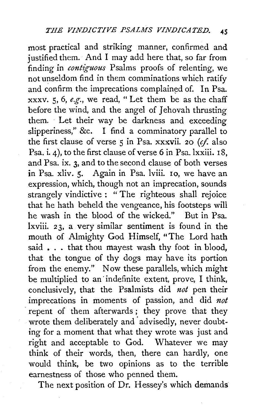most practical and striking manner, confirmed and justified them. And I may add here that, so far from finding in *contiguous* Psalms proofs of relenting, we not unseldom find in them comminations which ratify and confirm the imprecations complained of. In Psa. xxxv. 5, 6, *e.g.,* we read, "Let them be as the chaff before the wind, and the angel of Jehovah thrusting them. Let their way be darkness and exceeding slipperiness," &c. I find a comminatory parallel to the first clause of verse  $\frac{2}{3}$  in Psa. xxxvii. 20 (cf. also Psa. i. 4), to the first clause of verse 6 in Psa. lxxiii. 18, and Psa. ix. 3, and to the second clause of both verses in Psa. xliv. 5. Again in Psa. lviii. 10, we have an expression, which, though not an imprecation, sounds strangely vindictive : "The righteous shall rejoice that he hath beheld the vengeance, his footsteps will he wash in the blood of the wicked." But in Psa. lxviii. 23, a very similar sentiment is found in the mouth of Almighty God Himself, "The Lord hath said . . . that thou may est wash thy foot in blood, that the tongue of thy dogs may have its portion from the enemy." Now these parallels, which might be multiplied to an· indefinite extent, prove, I think, conclusively, that the Psalmists did *not* pen their imprecations in moments of passion, and did *not*  repent of them afterwards; they prove that they wrote them deliberately and advisedly, never doubting for a moment that what they wrote was just and right and acceptable to God. Whatever we may think of their words, then, there can hardly, one would think, be two opinions as to the terrible earnestness of those who penned them.

The next position of Dr. Hessey's which demands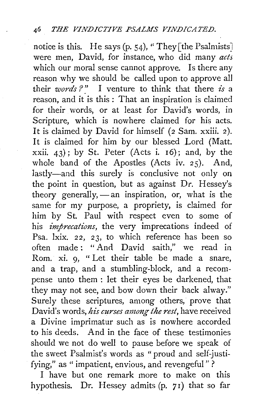notice is this. He says (p. 54), "They [the Psalmists] were men, David, for instance, who did many *acts*  which our moral sense cannot approve. Is there any reason why we should be called upon to approve all their *words ?* " I venture to think that there *is* a reason, and it is this : That an inspiration is claimed for their words, or at least for David's words, in Scripture, which is nowhere claimed for his acts. It is claimed by David for himself (2 Sam. xxiii. 2). It is claimed for him by our blessed Lord (Matt. xxii.  $43$ ); by St. Peter (Acts i. 16); and, by the whole band of the Apostles (Acts iv. 25). And, lastly-and this surely is conclusive not only on the point in question, but as against Dr. Hessey's theory generally,  $-$  an inspiration, or, what is the same for my purpose, a propriety, is claimed for him by St. Paul with respect even to some of his *imprecations,* the very imprecations indeed of Psa. lxix. *22,* 23, to which reference has been so often made : " And David saith," we read in Rom. xi. 9, " Let their table be made a snare, and a trap, and a stumbling-block, and a recompense unto them : let their eyes be darkened, that they may not see, and bow down their back alway." Surely these scriptures, among others, prove that David's words, *his curses among the rest,* have received a Divine imprimatur such as is nowhere accorded to his deeds. And in the face of these testimonies should we not do well to pause before we speak of the sweet Psalmist's words as "proud and self-justifying," as " impatient, envious, and revengeful"?

I have but one remark more to make on this hypothesis. Dr. Hessey admits (p. 71) that so far